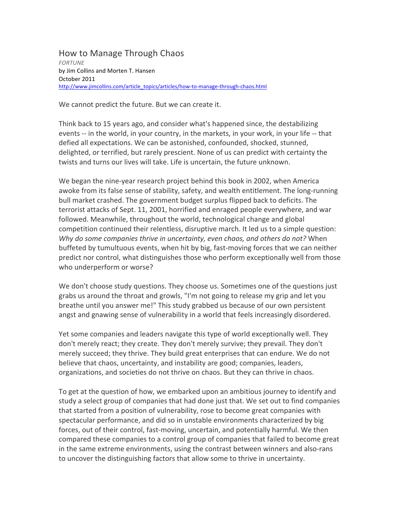### How to Manage Through Chaos *FORTUNE* by Jim Collins and Morten T. Hansen October 2011 http://www.jimcollins.com/article\_topics/articles/how-to-manage-through-chaos.html

We cannot predict the future. But we can create it.

Think back to 15 years ago, and consider what's happened since, the destabilizing events -- in the world, in your country, in the markets, in your work, in your life -- that defied all expectations. We can be astonished, confounded, shocked, stunned, delighted, or terrified, but rarely prescient. None of us can predict with certainty the twists and turns our lives will take. Life is uncertain, the future unknown.

We began the nine-year research project behind this book in 2002, when America awoke from its false sense of stability, safety, and wealth entitlement. The long-running bull market crashed. The government budget surplus flipped back to deficits. The terrorist attacks of Sept. 11, 2001, horrified and enraged people everywhere, and war followed. Meanwhile, throughout the world, technological change and global competition continued their relentless, disruptive march. It led us to a simple question: *Why* do some companies thrive in uncertainty, even chaos, and others do not? When buffeted by tumultuous events, when hit by big, fast-moving forces that we can neither predict nor control, what distinguishes those who perform exceptionally well from those who underperform or worse?

We don't choose study questions. They choose us. Sometimes one of the questions just grabs us around the throat and growls, "I'm not going to release my grip and let you breathe until you answer me!" This study grabbed us because of our own persistent angst and gnawing sense of vulnerability in a world that feels increasingly disordered.

Yet some companies and leaders navigate this type of world exceptionally well. They don't merely react; they create. They don't merely survive; they prevail. They don't merely succeed; they thrive. They build great enterprises that can endure. We do not believe that chaos, uncertainty, and instability are good; companies, leaders, organizations, and societies do not thrive on chaos. But they can thrive in chaos.

To get at the question of how, we embarked upon an ambitious journey to identify and study a select group of companies that had done just that. We set out to find companies that started from a position of vulnerability, rose to become great companies with spectacular performance, and did so in unstable environments characterized by big forces, out of their control, fast-moving, uncertain, and potentially harmful. We then compared these companies to a control group of companies that failed to become great in the same extreme environments, using the contrast between winners and also-rans to uncover the distinguishing factors that allow some to thrive in uncertainty.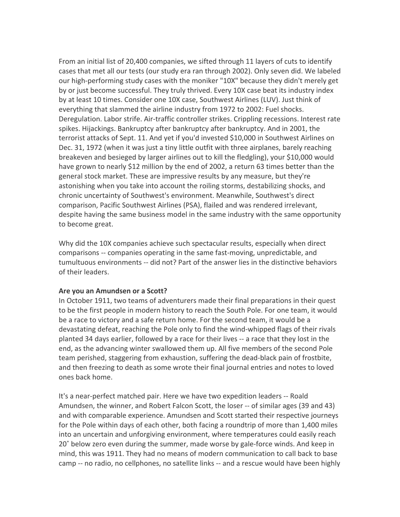From an initial list of 20,400 companies, we sifted through 11 layers of cuts to identify cases that met all our tests (our study era ran through 2002). Only seven did. We labeled our high-performing study cases with the moniker "10X" because they didn't merely get by or just become successful. They truly thrived. Every 10X case beat its industry index by at least 10 times. Consider one 10X case, Southwest Airlines (LUV). Just think of everything that slammed the airline industry from 1972 to 2002: Fuel shocks. Deregulation. Labor strife. Air-traffic controller strikes. Crippling recessions. Interest rate spikes. Hijackings. Bankruptcy after bankruptcy after bankruptcy. And in 2001, the terrorist attacks of Sept. 11. And yet if you'd invested \$10,000 in Southwest Airlines on Dec. 31, 1972 (when it was just a tiny little outfit with three airplanes, barely reaching breakeven and besieged by larger airlines out to kill the fledgling), your \$10,000 would have grown to nearly \$12 million by the end of 2002, a return 63 times better than the general stock market. These are impressive results by any measure, but they're astonishing when you take into account the roiling storms, destabilizing shocks, and chronic uncertainty of Southwest's environment. Meanwhile, Southwest's direct comparison, Pacific Southwest Airlines (PSA), flailed and was rendered irrelevant, despite having the same business model in the same industry with the same opportunity to become great.

Why did the 10X companies achieve such spectacular results, especially when direct comparisons -- companies operating in the same fast-moving, unpredictable, and tumultuous environments -- did not? Part of the answer lies in the distinctive behaviors of their leaders.

#### Are you an Amundsen or a Scott?

In October 1911, two teams of adventurers made their final preparations in their quest to be the first people in modern history to reach the South Pole. For one team, it would be a race to victory and a safe return home. For the second team, it would be a devastating defeat, reaching the Pole only to find the wind-whipped flags of their rivals planted 34 days earlier, followed by a race for their lives -- a race that they lost in the end, as the advancing winter swallowed them up. All five members of the second Pole team perished, staggering from exhaustion, suffering the dead-black pain of frostbite, and then freezing to death as some wrote their final journal entries and notes to loved ones back home.

It's a near-perfect matched pair. Here we have two expedition leaders -- Roald Amundsen, the winner, and Robert Falcon Scott, the loser -- of similar ages (39 and 43) and with comparable experience. Amundsen and Scott started their respective journeys for the Pole within days of each other, both facing a roundtrip of more than 1,400 miles into an uncertain and unforgiving environment, where temperatures could easily reach 20° below zero even during the summer, made worse by gale-force winds. And keep in mind, this was 1911. They had no means of modern communication to call back to base camp -- no radio, no cellphones, no satellite links -- and a rescue would have been highly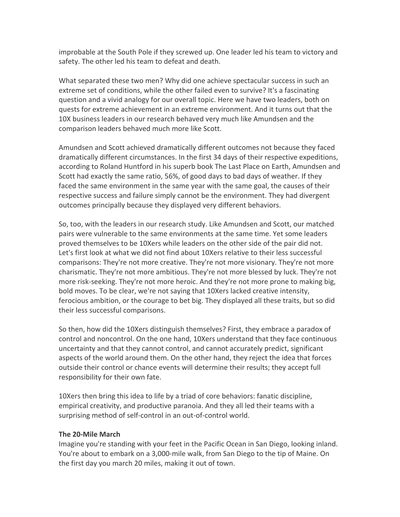improbable at the South Pole if they screwed up. One leader led his team to victory and safety. The other led his team to defeat and death.

What separated these two men? Why did one achieve spectacular success in such an extreme set of conditions, while the other failed even to survive? It's a fascinating question and a vivid analogy for our overall topic. Here we have two leaders, both on quests for extreme achievement in an extreme environment. And it turns out that the 10X business leaders in our research behaved very much like Amundsen and the comparison leaders behaved much more like Scott.

Amundsen and Scott achieved dramatically different outcomes not because they faced dramatically different circumstances. In the first 34 days of their respective expeditions, according to Roland Huntford in his superb book The Last Place on Earth, Amundsen and Scott had exactly the same ratio, 56%, of good days to bad days of weather. If they faced the same environment in the same year with the same goal, the causes of their respective success and failure simply cannot be the environment. They had divergent outcomes principally because they displayed very different behaviors.

So, too, with the leaders in our research study. Like Amundsen and Scott, our matched pairs were vulnerable to the same environments at the same time. Yet some leaders proved themselves to be 10Xers while leaders on the other side of the pair did not. Let's first look at what we did not find about 10Xers relative to their less successful comparisons: They're not more creative. They're not more visionary. They're not more charismatic. They're not more ambitious. They're not more blessed by luck. They're not more risk-seeking. They're not more heroic. And they're not more prone to making big, bold moves. To be clear, we're not saying that 10Xers lacked creative intensity, ferocious ambition, or the courage to bet big. They displayed all these traits, but so did their less successful comparisons.

So then, how did the 10Xers distinguish themselves? First, they embrace a paradox of control and noncontrol. On the one hand, 10Xers understand that they face continuous uncertainty and that they cannot control, and cannot accurately predict, significant aspects of the world around them. On the other hand, they reject the idea that forces outside their control or chance events will determine their results; they accept full responsibility for their own fate.

10Xers then bring this idea to life by a triad of core behaviors: fanatic discipline, empirical creativity, and productive paranoia. And they all led their teams with a surprising method of self-control in an out-of-control world.

# **The 20-Mile March**

Imagine you're standing with your feet in the Pacific Ocean in San Diego, looking inland. You're about to embark on a 3,000-mile walk, from San Diego to the tip of Maine. On the first day you march 20 miles, making it out of town.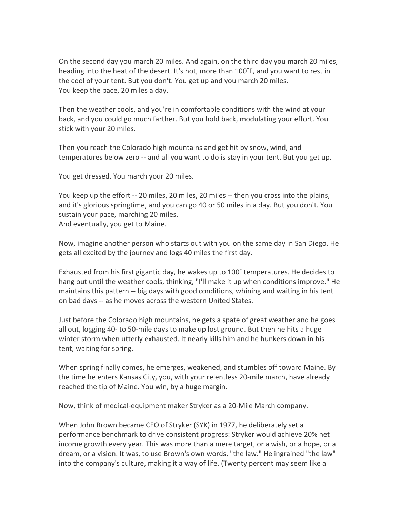On the second day you march 20 miles. And again, on the third day you march 20 miles, heading into the heat of the desert. It's hot, more than 100°F, and you want to rest in the cool of your tent. But you don't. You get up and you march 20 miles. You keep the pace, 20 miles a day.

Then the weather cools, and you're in comfortable conditions with the wind at your back, and you could go much farther. But you hold back, modulating your effort. You stick with your 20 miles.

Then you reach the Colorado high mountains and get hit by snow, wind, and temperatures below zero -- and all you want to do is stay in your tent. But you get up.

You get dressed. You march your 20 miles.

You keep up the effort -- 20 miles, 20 miles, 20 miles -- then you cross into the plains, and it's glorious springtime, and you can go 40 or 50 miles in a day. But you don't. You sustain your pace, marching 20 miles. And eventually, you get to Maine.

Now, imagine another person who starts out with you on the same day in San Diego. He gets all excited by the journey and logs 40 miles the first day.

Exhausted from his first gigantic day, he wakes up to 100° temperatures. He decides to hang out until the weather cools, thinking, "I'll make it up when conditions improve." He maintains this pattern -- big days with good conditions, whining and waiting in his tent on bad days -- as he moves across the western United States.

Just before the Colorado high mountains, he gets a spate of great weather and he goes all out, logging 40- to 50-mile days to make up lost ground. But then he hits a huge winter storm when utterly exhausted. It nearly kills him and he hunkers down in his tent, waiting for spring.

When spring finally comes, he emerges, weakened, and stumbles off toward Maine. By the time he enters Kansas City, you, with your relentless 20-mile march, have already reached the tip of Maine. You win, by a huge margin.

Now, think of medical-equipment maker Stryker as a 20-Mile March company.

When John Brown became CEO of Stryker (SYK) in 1977, he deliberately set a performance benchmark to drive consistent progress: Stryker would achieve 20% net income growth every year. This was more than a mere target, or a wish, or a hope, or a dream, or a vision. It was, to use Brown's own words, "the law." He ingrained "the law" into the company's culture, making it a way of life. (Twenty percent may seem like a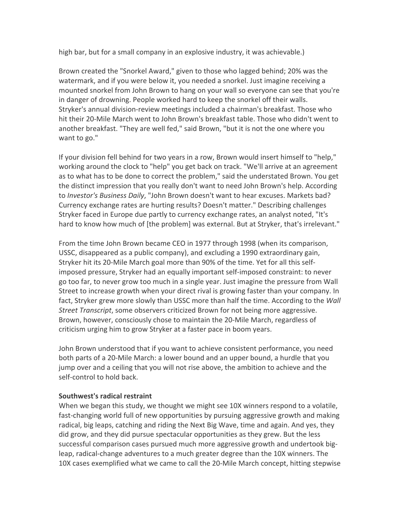high bar, but for a small company in an explosive industry, it was achievable.)

Brown created the "Snorkel Award," given to those who lagged behind; 20% was the watermark, and if you were below it, you needed a snorkel. Just imagine receiving a mounted snorkel from John Brown to hang on your wall so everyone can see that you're in danger of drowning. People worked hard to keep the snorkel off their walls. Stryker's annual division-review meetings included a chairman's breakfast. Those who hit their 20-Mile March went to John Brown's breakfast table. Those who didn't went to another breakfast. "They are well fed," said Brown, "but it is not the one where you want to go."

If your division fell behind for two years in a row, Brown would insert himself to "help," working around the clock to "help" you get back on track. "We'll arrive at an agreement as to what has to be done to correct the problem," said the understated Brown. You get the distinct impression that you really don't want to need John Brown's help. According to *Investor's Business Daily*, "John Brown doesn't want to hear excuses. Markets bad? Currency exchange rates are hurting results? Doesn't matter." Describing challenges Stryker faced in Europe due partly to currency exchange rates, an analyst noted, "It's hard to know how much of [the problem] was external. But at Stryker, that's irrelevant."

From the time John Brown became CEO in 1977 through 1998 (when its comparison, USSC, disappeared as a public company), and excluding a 1990 extraordinary gain, Stryker hit its 20-Mile March goal more than 90% of the time. Yet for all this selfimposed pressure, Stryker had an equally important self-imposed constraint: to never go too far, to never grow too much in a single year. Just imagine the pressure from Wall Street to increase growth when your direct rival is growing faster than your company. In fact, Stryker grew more slowly than USSC more than half the time. According to the *Wall Street Transcript*, some observers criticized Brown for not being more aggressive. Brown, however, consciously chose to maintain the 20-Mile March, regardless of criticism urging him to grow Stryker at a faster pace in boom years.

John Brown understood that if you want to achieve consistent performance, you need both parts of a 20-Mile March: a lower bound and an upper bound, a hurdle that you jump over and a ceiling that you will not rise above, the ambition to achieve and the self-control to hold back.

# **Southwest's radical restraint**

When we began this study, we thought we might see 10X winners respond to a volatile, fast-changing world full of new opportunities by pursuing aggressive growth and making radical, big leaps, catching and riding the Next Big Wave, time and again. And yes, they did grow, and they did pursue spectacular opportunities as they grew. But the less successful comparison cases pursued much more aggressive growth and undertook bigleap, radical-change adventures to a much greater degree than the 10X winners. The 10X cases exemplified what we came to call the 20-Mile March concept, hitting stepwise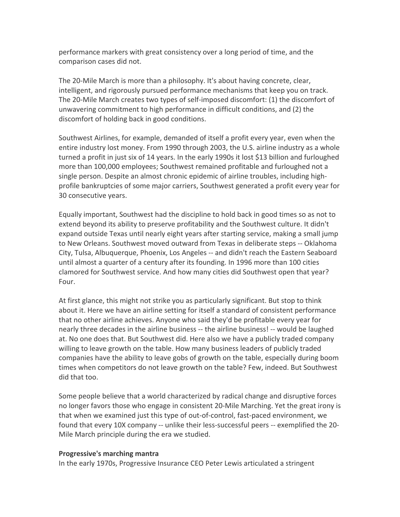performance markers with great consistency over a long period of time, and the comparison cases did not.

The 20-Mile March is more than a philosophy. It's about having concrete, clear, intelligent, and rigorously pursued performance mechanisms that keep you on track. The 20-Mile March creates two types of self-imposed discomfort:  $(1)$  the discomfort of unwavering commitment to high performance in difficult conditions, and (2) the discomfort of holding back in good conditions.

Southwest Airlines, for example, demanded of itself a profit every year, even when the entire industry lost money. From 1990 through 2003, the U.S. airline industry as a whole turned a profit in just six of 14 years. In the early 1990s it lost \$13 billion and furloughed more than 100,000 employees; Southwest remained profitable and furloughed not a single person. Despite an almost chronic epidemic of airline troubles, including highprofile bankruptcies of some major carriers, Southwest generated a profit every year for 30 consecutive years.

Equally important, Southwest had the discipline to hold back in good times so as not to extend beyond its ability to preserve profitability and the Southwest culture. It didn't expand outside Texas until nearly eight years after starting service, making a small jump to New Orleans. Southwest moved outward from Texas in deliberate steps -- Oklahoma City, Tulsa, Albuquerque, Phoenix, Los Angeles -- and didn't reach the Eastern Seaboard until almost a quarter of a century after its founding. In 1996 more than 100 cities clamored for Southwest service. And how many cities did Southwest open that year? Four.

At first glance, this might not strike you as particularly significant. But stop to think about it. Here we have an airline setting for itself a standard of consistent performance that no other airline achieves. Anyone who said they'd be profitable every year for nearly three decades in the airline business -- the airline business! -- would be laughed at. No one does that. But Southwest did. Here also we have a publicly traded company willing to leave growth on the table. How many business leaders of publicly traded companies have the ability to leave gobs of growth on the table, especially during boom times when competitors do not leave growth on the table? Few, indeed. But Southwest did that too.

Some people believe that a world characterized by radical change and disruptive forces no longer favors those who engage in consistent 20-Mile Marching. Yet the great irony is that when we examined just this type of out-of-control, fast-paced environment, we found that every 10X company -- unlike their less-successful peers -- exemplified the 20-Mile March principle during the era we studied.

#### **Progressive's marching mantra**

In the early 1970s, Progressive Insurance CEO Peter Lewis articulated a stringent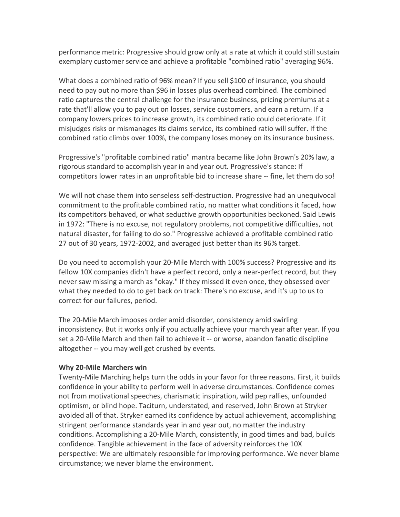performance metric: Progressive should grow only at a rate at which it could still sustain exemplary customer service and achieve a profitable "combined ratio" averaging 96%.

What does a combined ratio of 96% mean? If you sell \$100 of insurance, you should need to pay out no more than \$96 in losses plus overhead combined. The combined ratio captures the central challenge for the insurance business, pricing premiums at a rate that'll allow you to pay out on losses, service customers, and earn a return. If a company lowers prices to increase growth, its combined ratio could deteriorate. If it misjudges risks or mismanages its claims service, its combined ratio will suffer. If the combined ratio climbs over 100%, the company loses money on its insurance business.

Progressive's "profitable combined ratio" mantra became like John Brown's 20% law, a rigorous standard to accomplish year in and year out. Progressive's stance: If competitors lower rates in an unprofitable bid to increase share -- fine, let them do so!

We will not chase them into senseless self-destruction. Progressive had an unequivocal commitment to the profitable combined ratio, no matter what conditions it faced, how its competitors behaved, or what seductive growth opportunities beckoned. Said Lewis in 1972: "There is no excuse, not regulatory problems, not competitive difficulties, not natural disaster, for failing to do so." Progressive achieved a profitable combined ratio 27 out of 30 years, 1972-2002, and averaged just better than its 96% target.

Do you need to accomplish your 20-Mile March with 100% success? Progressive and its fellow 10X companies didn't have a perfect record, only a near-perfect record, but they never saw missing a march as "okay." If they missed it even once, they obsessed over what they needed to do to get back on track: There's no excuse, and it's up to us to correct for our failures, period.

The 20-Mile March imposes order amid disorder, consistency amid swirling inconsistency. But it works only if you actually achieve your march year after year. If you set a 20-Mile March and then fail to achieve it -- or worse, abandon fanatic discipline altogether -- you may well get crushed by events.

## **Why 20-Mile Marchers win**

Twenty-Mile Marching helps turn the odds in your favor for three reasons. First, it builds confidence in your ability to perform well in adverse circumstances. Confidence comes not from motivational speeches, charismatic inspiration, wild pep rallies, unfounded optimism, or blind hope. Taciturn, understated, and reserved, John Brown at Stryker avoided all of that. Stryker earned its confidence by actual achievement, accomplishing stringent performance standards year in and year out, no matter the industry conditions. Accomplishing a 20-Mile March, consistently, in good times and bad, builds confidence. Tangible achievement in the face of adversity reinforces the 10X perspective: We are ultimately responsible for improving performance. We never blame circumstance; we never blame the environment.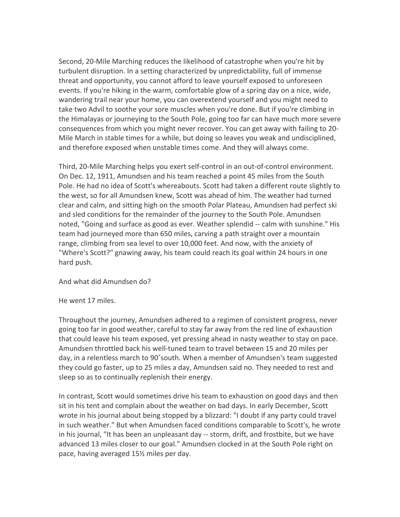Second, 20-Mile Marching reduces the likelihood of catastrophe when you're hit by turbulent disruption. In a setting characterized by unpredictability, full of immense threat and opportunity, you cannot afford to leave yourself exposed to unforeseen events. If you're hiking in the warm, comfortable glow of a spring day on a nice, wide, wandering trail near your home, you can overextend yourself and you might need to take two Advil to soothe your sore muscles when you're done. But if you're climbing in the Himalayas or journeying to the South Pole, going too far can have much more severe consequences from which you might never recover. You can get away with failing to 20-Mile March in stable times for a while, but doing so leaves you weak and undisciplined, and therefore exposed when unstable times come. And they will always come.

Third, 20-Mile Marching helps you exert self-control in an out-of-control environment. On Dec. 12, 1911, Amundsen and his team reached a point 45 miles from the South Pole. He had no idea of Scott's whereabouts. Scott had taken a different route slightly to the west, so for all Amundsen knew, Scott was ahead of him. The weather had turned clear and calm, and sitting high on the smooth Polar Plateau, Amundsen had perfect ski and sled conditions for the remainder of the journey to the South Pole. Amundsen noted, "Going and surface as good as ever. Weather splendid -- calm with sunshine." His team had journeyed more than 650 miles, carving a path straight over a mountain range, climbing from sea level to over 10,000 feet. And now, with the anxiety of "Where's Scott?" gnawing away, his team could reach its goal within 24 hours in one hard push.

And what did Amundsen do?

## He went 17 miles.

Throughout the journey, Amundsen adhered to a regimen of consistent progress, never going too far in good weather, careful to stay far away from the red line of exhaustion that could leave his team exposed, yet pressing ahead in nasty weather to stay on pace. Amundsen throttled back his well-tuned team to travel between 15 and 20 miles per day, in a relentless march to 90°south. When a member of Amundsen's team suggested they could go faster, up to 25 miles a day, Amundsen said no. They needed to rest and sleep so as to continually replenish their energy.

In contrast, Scott would sometimes drive his team to exhaustion on good days and then sit in his tent and complain about the weather on bad days. In early December, Scott wrote in his journal about being stopped by a blizzard: "I doubt if any party could travel in such weather." But when Amundsen faced conditions comparable to Scott's, he wrote in his journal, "It has been an unpleasant day -- storm, drift, and frostbite, but we have advanced 13 miles closer to our goal." Amundsen clocked in at the South Pole right on pace, having averaged 15½ miles per day.